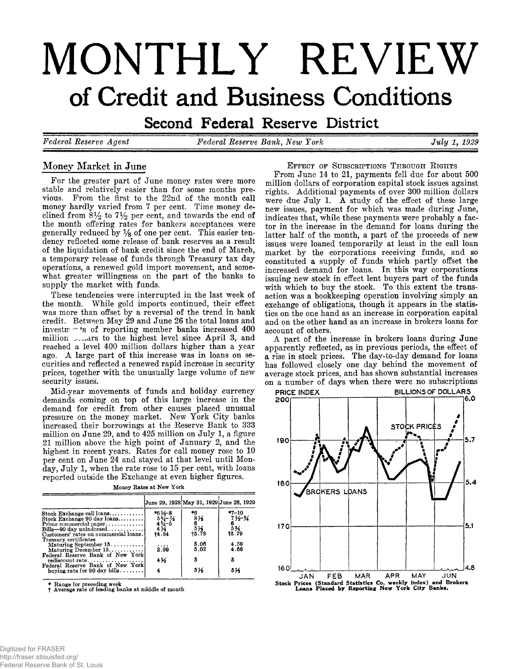# **MONTHLY REVIEW of Credit and Business Conditions**

**Second Federal Reserve District** 

*Federal Reserve Agent Federal Reserve Bank, New York July 1 , 1929*

# **Money Market in June**

**For the greater part of June money rates were more stable and relatively easier than for some months previous. From the first to the 22nd of the month call money hardly varied from 7 per cent. Time money de**clined from  $8\frac{1}{2}$  to  $7\frac{1}{2}$  per cent, and towards the end of **the month offering rates for bankers acceptances were generally reduced by % of one per cent. This easier tendency reflected some release of bank reserves as a result of the liquidation of bank credit since the end of March, a temporary release of funds through Treasury tax day operations, a renewed gold import movement, and somewhat greater willingness on the part of the banks to supply the market with funds.**

**These tendencies were interrupted in the last week of the month. While gold imports continued, their effect was more than offset by a reversal of the trend in bank credit. Between May 29 and June 26 the total loans and investa of reporting member banks increased 400 million .,,^ars to the highest level since April 3, and reached a level 400 million dollars higher than a year ago. A large part of this increase was in loans on securities and reflected a renewed rapid increase in security prices, together with the unusually large volume of new security issues.**

**Mid-year movements of funds and holiday currency demands coming on top of this large increase in the demand for credit from other causes placed unusual pressure on the money market. New York City banks increased their borrowings at the Reserve Bank to 333 million on June 29, and to 425 million on July 1, a figure 21 million above the high point of January 2, and the highest in recent years. Rates for call money rose to 10 per cent on June 24 and stayed at that level until Monday, July 1, when the rate rose to 15 per cent, with loans reported outside the Exchange at even higher figures.**

|                                                                                                                                                                                                                                      |                                                                                                                                     | June 29, 1928 May 31, 1929 June 28, 1929          |                                                                 |
|--------------------------------------------------------------------------------------------------------------------------------------------------------------------------------------------------------------------------------------|-------------------------------------------------------------------------------------------------------------------------------------|---------------------------------------------------|-----------------------------------------------------------------|
| $\quad$ Stock Exchange call loans<br>$Stock$ Exchange 90 day loans<br>$Prime \text{ commercial paper} \dots \dots \dots \dots$<br>$\text{Bills--90 day unindorsed} \dots \dots \dots \dots$<br>Customers' rates on commercial loans. | $*6\frac{1}{2}-8$<br>5 <sup>3</sup> / <sub>4</sub> -7/ <sub>8</sub><br>4 <sup>3/4-5</sup><br>4 <sup>1</sup> / <sub>8</sub><br>14.84 | *6<br>816<br>$\frac{6}{15}$<br>$\frac{5}{16}$ .78 | $*7 - 10$<br>$7\frac{1}{2}$ $\frac{1}{4}$<br>$\frac{53}{15.79}$ |
| Treasury certificates<br>Maturing September 15<br>Maturing December 15.                                                                                                                                                              | 3.99                                                                                                                                | 5.06<br>5.02                                      | 4.59<br>4.66                                                    |
| Federal Reserve Bank of New York<br>$rediscount rate. \ldots \ldots \ldots \ldots$                                                                                                                                                   | 41⁄2                                                                                                                                |                                                   |                                                                 |
| Federal Reserve Bank of New York<br>buying rate for $90 \text{ day}$ bills                                                                                                                                                           |                                                                                                                                     | 516                                               | 514                                                             |

**Money Rates at New York**

**\* Range for preceding week** t **Average rate of leading banks at middle of month**

**E fFECT** OF SUBSCRIPTIONS THROUGH RIGHTS

**From June 14 to 21, payments fell due for about 500 million dollars of corporation capital stock issues against rights. Additional payments of over 300 million dollars were due July 1. A study of the effect of these large new issues, payment for which was made during June, indicates that, while these payments were probably a factor in the increase in the demand for loans during the latter half of the month, a part of the proceeds of new issues were loaned temporarily at least in the call loan market by the corporations receiving funds, and so constituted a supply of funds which partly offset the increased demand for loans. In this way corporations issuing new stock in effect lent buyers part of the funds with which to buy the stock. To this extent the transaction was a bookkeeping operation involving simply an exchange of obligations, though it appears in the statistics on the one hand as an increase in corporation capital and on the other hand as an increase in brokers loans for account of others.**

**A part of the increase in brokers loans during June apparently reflected, as in previous periods, the effect of a rise in stock prices. The day-to-day demand for loans has followed closely one day behind the movement of average stock prices, and has shown substantial increases on a number of days when there were no subscriptions**

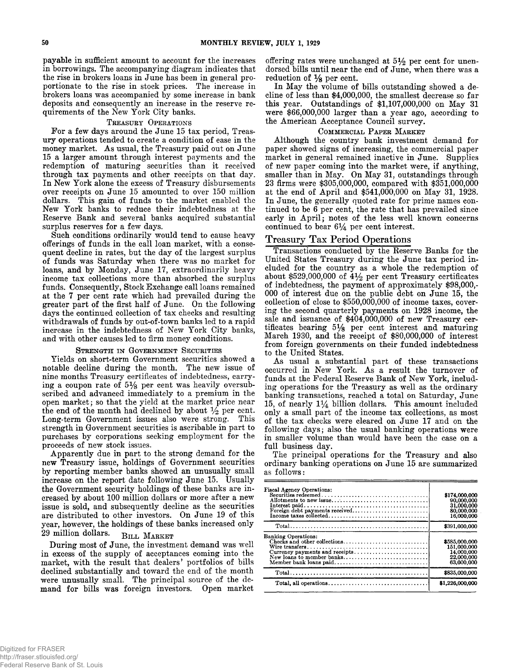**payable in sufficient amount to account for the increases in borrowings. The accompanying diagram indicates that the rise in brokers loans in June has been in general proportionate to the rise in stock prices. The increase in brokers loans was accompanied by some increase in bank deposits and consequently an increase in the reserve requirements of the New York City banks.**

#### **TREASURY OPERATIONS**

**For a few days around the June 15 tax period, Treasury operations tended to create a condition of ease in the money market. As usual, the Treasury paid out on June 15 a larger amount through interest payments and the redemption of maturing securities than it received through tax payments and other receipts on that day. In New York alone the excess of Treasury disbursements over receipts on June 15 amounted to over 150 million dollars. This gain of funds to the market enabled the New York banks to reduce their indebtedness at the Reserve Rank and several banks acquired substantial surplus reserves for a few days.**

**Such conditions ordinarily would tend to cause heavy offerings of funds in the call loan market, with a consequent decline in rates, but the day of the largest surplus of funds was Saturday when there was no market for loans, and by Monday, June 17, extraordinarily heavy income tax collections more than absorbed the surplus funds. Consequently, Stock Exchange call loans remained at the 7 per cent rate which had prevailed during the greater part of the first half of June. On the following days the continued collection of tax checks and resulting withdrawals of funds by out-of-town banks led to a rapid increase in the indebtedness of New York City banks, and with other causes led to firm money conditions.**

#### STRENGTH IN GOVERNMENT SECURITIES

**Yields on short-term Government securities showed a notable decline during the month. The new issue of nine months Treasury certificates of indebtedness, carry**ing a coupon rate of 5<sup>1</sup>/<sub>8</sub> per cent was heavily oversub**scribed and advanced immediately to a premium in the open market; so that the yield at the market price near** the end of the month had declined by about  $\frac{1}{2}$  per cent.<br>Long-term Government issues also were strong. This Long-term Government issues also were strong. **strength in Government securities is ascribable in part to purchases by corporations seeking employment for the proceeds of new stock issues.**

**Apparently due in part to the strong demand for the new Treasury issue, holdings of Government securities by reporting member banks showed an unusually small increase on the report date following June 15. Usually the Government security holdings of these banks are increased by about 100 million dollars or more after a new issue is sold, and subsequently decline as the securities are distributed to other investors. On June 19 of this year, however, the holdings of these banks increased only** 29 million dollars. **BILL MARKET** 

**During most of June, the investment demand was well in excess of the supply of acceptances coming into the market, with the result that dealers' portfolios of bills declined substantially and toward the end of the month were unusually small. The principal source of the demand for bills was foreign investors. Open market**

**offering rates were unchanged at 5 % per cent for unendorsed bills until near the end of June, when there was a reduction of** *Ys* **per cent.**

**In May the volume of bills outstanding showed a decline of less than \$4,000,000, the smallest decrease so far this year. Outstandings of \$1,107,000,000 on May 31 were \$66,000,000 larger than a year ago, according to the American Acceptance Council survey.**

#### COMMERCIAL PAPER MARKET

**Although the country bank investment demand for paper showed signs of increasing, the commercial paper market in general remained inactive in June. Supplies of new paper coming into the market were, if anything, smaller than in May. On May 31, outstandings through 23 firms were \$305,000,000, compared with \$351,000,000 at the end of April and \$541,000,000 on May 31, 1928. In June, the generally quoted rate for prime names continued to be 6 per cent, the rate that has prevailed since** early in April; notes of the less well known concerns continued to bear  $6\frac{1}{4}$  per cent interest.

## **Treasury Tax Period Operations**

**Transactions conducted by the Reserve Banks for the United States Treasury during the June tax period included for the country as a whole the redemption of about \$529,000,000 of 4 % per cent Treasury certificates of indebtedness, the payment of approximately \$98,000,- 000 of interest due on the public debt on June 15, the collection of close to \$550,000,000 of income taxes, covering the second quarterly payments on 1928 income, the sale and issuance of \$404,000,000 of new Treasury certificates bearing 5***Ys* **per cent interest and maturing March 1930, and the receipt of \$80,000,000 of interest from foreign governments on their funded indebtedness to the United States.**

**As usual a substantial part of these transactions occurred in New York. As a result the turnover of funds at the Federal Reserve Bank of New York, including operations for the Treasury as well as the ordinary banking transactions, reached a total on Saturday, June 15, of nearly 1\*4 billion dollars. This amount included only a small part of the income tax collections, as most of the tax checks were cleared on June 17 and on the following days; also the usual banking operations were in smaller volume than would have been the case on a full business day.**

**The principal operations for the Treasury and also ordinary banking operations on June 15 are summarized as follows:**

| <b>Fiscal Agency Operations:</b>              | \$174,000,000<br>90,000,000<br>31,000,000<br>80,000,000<br>16,000,000  |
|-----------------------------------------------|------------------------------------------------------------------------|
|                                               | \$391,000,000                                                          |
| Banking Operations:<br>Member bank loans paid | \$585,000,000<br>151.000.000<br>14.000.000<br>22.000.000<br>63,000,000 |
|                                               | \$835,000,000                                                          |
|                                               | \$1,226,000,000                                                        |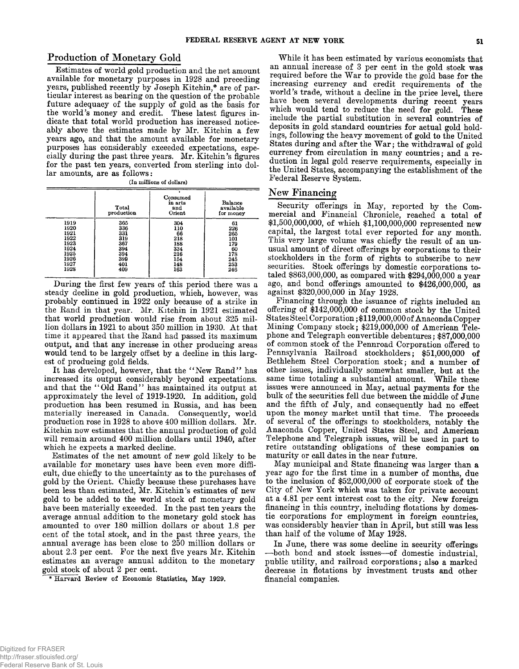## **Production of Monetary Gold**

**Estimates of world gold production and the net amount available for monetary purposes in 1928 and preceding years, published recently by Joseph Kitchin,\* are of particular interest as bearing on the question of the probable future adequacy of the supply of gold as the basis for the world's money and credit. These latest figures indicate that total world production has increased noticeably above the estimates made by Mr. Kitchin a few years ago, and that the amount available for monetary purposes has considerably exceeded expectations, especially during the past three years. Mr. Kitchin's figures for the past ten years, converted from sterling into dollar amounts, are as follows:**

| (In millions of dollars) |  |  |
|--------------------------|--|--|
|--------------------------|--|--|

|                              | Total<br>production      | Consumed<br>in arts<br>and<br>Orient | Balance<br>available<br>for money |
|------------------------------|--------------------------|--------------------------------------|-----------------------------------|
| 1919<br>1920<br>1921<br>1922 | 365<br>336<br>331<br>319 | 304<br>110<br>66<br>218              | 61<br>226<br>265                  |
| 1923<br>1924<br>1925         | 367<br>394<br>394        | 188<br>334<br>216                    | 101<br>179<br>60<br>178           |
| 1926<br>1927<br>1928         | 399<br>401<br>409        | 154<br>148<br>163                    | 245<br>253<br>246                 |

**During the first few years of this period there was a steady decline in gold production, which, however, was probably continued in 1922 only because of a strike in the Rand in that year. Mr. Kitchin in 1921 estimated that world production would rise from about 325 mil**lion dollars in 1921 to about 350 million in 1930. At that **time it appeared that the Rand had passed its maximum output, and that any increase in other producing areas would tend to be largely offset by a decline in this largest of producing gold fields.**

**It has developed, however, that the " New Rand" has increased its output considerably beyond expectations, and that the " Old Rand" has maintained its output at approximately the level of 1919-1920. In addition, gold production has been resumed in Russia, and has been materially increased in Canada. Consequently, world production rose in 1928 to above 400 million dollars. Mr. Kitchin now estimates that the annual production of gold will remain around 400 million dollars until 1940, after which he expects a marked decline.**

**Estimates of the net amount of new gold likely to be available for monetary uses have been even more difficult, due chiefly to the uncertainty as to the purchases of gold by the Orient. Chiefly because these purchases have been less than estimated, Mr. Kitchin's estimates of new gold to be added to the world stock of monetary gold have been materially exceeded. In the past ten years the average annual addition to the monetary gold stock has amounted to over 180 million dollars or about 1.8 per cent of the total stock, and in the past three years, the annual average has been close to 250 million dollars or about 2.3 per cent. For the next five years Mr. Kitchin estimates an average annual additon to the monetary gold stock of about 2 per cent.**

\* Harvard Review of Economic Statistics, May 1929.

**While it has been estimated by various economists that an annual increase of 3 per cent in the gold stock was** required before the War to provide the gold base for the **increasing currency and credit requirements of the world's trade, without a decline in the price level, there have been several developments during recent years which would tend to reduce the need for gold. These include the partial substitution in several countries of deposits in gold standard countries for actual gold holdings, following the heavy movement of gold to the United** States during and after the War; the withdrawal of gold **currency from circulation in many countries; and a reduction in legal gold reserve requirements, especially in the United States, accompanying the establishment of the Federal Reserve System.**

#### New Financing

**Security offerings in May, reported by the Commercial and Financial Chronicle, reached a total of \$1,500,000,000, of which \$1,100,000,000 represented new capital, the largest total ever reported for any month. This very large volume was chiefly the result of an unusual amount of direct offerings by corporations to their stockholders in the form of rights to subscribe to new securities. Stock offerings by domestic corporations totaled \$863,000,000, as compared with \$294,000,000 a year ago, and bond offerings amounted to \$426,000,000, as against \$320,000,000 in May 1928.**

**Financing through the issuance of rights included an offering of \$142,000,000 of common stock by the United States Steel Corporation; \$119,000,000of Anaconda Copper Mining Company stock; \$219,000,000 of American Telephone and Telegraph convertible debentures; \$87,000,000 of common stock of the Pennroad Corporation offered to Pennsylvania Railroad stockholders; \$51,000,000 of Bethlehem Steel Corporation stock; and a number of other issues, individually somewhat smaller, but at the same time totaling a substantial amount. While these issues were announced in May, actual payments for the bulk of the securities fell due between the middle of June and the fifth of July, and consequently had no effect upon the money market until that time. The proceeds of several of the offerings to stockholders, notably the Anaconda Copper, United States Steel, and American Telephone and Telegraph issues, will be used in part to retire outstanding obligations of these companies on maturity or call dates in the near future.**

**May municipal and State financing was larger than a year ago for the first time in a number of months, due to the inclusion of \$52,000,000 of corporate stock of the City of New York which was taken for private account at a 4.81 per cent interest cost to the city. New foreign financing in this country, including flotations by domestic corporations for employment in foreign countries, was considerably heavier than in April, but still was less than half of the volume of May 1928.**

**In June, there was some decline in security offerings — both bond and stock issues— of domestic industrial, public utility, and railroad corporations; also a marked decrease in flotations by investment trusts and other financial companies.**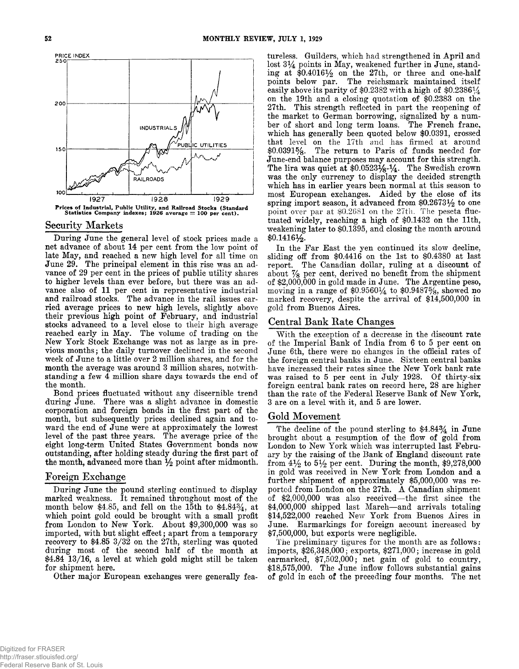

#### **Security Markets**

**During June the general level of stock prices made a net advance of about 14 per cent from the low point of late May, and reached a new high level for all time on** June 29. The principal element in this rise was an ad**vance of 29 per cent in the prices of public utility shares to higher levels than ever before, but there was an advance also of 11 per cent in representative industrial** and railroad stocks. The advance in the rail issues car**ried average prices to new high levels, slightly above their previous high point of February, and industrial stocks advanced to a level close to their high average reached early in May. The volume of trading on the New York Stock Exchange was not as large as in previous months; the daily turnover declined in the second week of June to a little over 2 million shares, and for the month the average was around 3 million shares, notwithstanding a few 4 million share days towards the end of the month.**

**Bond prices fluctuated without any discernible trend during June. There was a slight advance in domestic corporation and foreign bonds in the first part of the month, but subsequently prices declined again and toward the end of June were at approximately the lowest level of the past three years. The average price of the eight long-term United States Government bonds now outstanding, after holding steady during the first part of the month, advanced more than** *Y2* **point after midmonth.**

### **Foreign Exchange**

**During June the pound sterling continued to display marked weakness. It remained throughout most of the month below \$4.85, and fell on the 15th to \$4.84% , at which point gold could be brought with a small profit from London to New York. About \$9,300,000 was so imported, with but slight effect; apart from a temporary recovery to \$4.85 3/32 on the 27th, sterling was quoted during most of the second half of the month at \$4.84 13/16, a level at which gold might still be taken for shipment here.**

**Other major European exchanges were generally fea-**

**tureless. Guilders, which had strengthened in April and** lost  $3\frac{1}{4}$  points in May, weakened further in June, standing at \$0.4016<sup>1</sup>/<sub>2</sub> on the 27<sup>th</sup>, or three and one-half **points below par. The reichsmark maintained itself easily above its parity of \$0.2382 with a high of \$0.2386^4 on the 19th and a closing quotation of \$0.2383 on the 27th. This strength reflected in part the reopening of the market to German borrowing, signalized by a number of short and long term loans. The French franc, which has generally been quoted below \$0.0391, crossed that level on the 17th and has firmed at around \$0.0391%. The return to Paris of funds needed for June-end balance purposes may account for this strength. The lira was quiet at \$0.0523***Ys^A-* **The Swedish crown was the only currency to display the decided strength which has in earlier years been normal at this season to most European exchanges. Aided by the close of its** spring import season, it advanced from \$0.26731/2 to one **point over par at \$0.2681 on the 27th. The peseta fluctuated widely, reaching a high of \$0.1432 on the 11th, weakening later to \$0.1395, and closing the month around \$0.1416y2.**

**In the Far East the yen continued its slow decline, sliding off from \$0.4416 on the 1st to \$0.4380 at last report. The Canadian dollar, ruling at a discount of about** *7/s* **Per cent, derived no benefit from the shipment of \$2,000,000 in gold made in June. The Argentine peso, moving in a range of \$0.956014 to \$0.9487%, showed no marked recovery, despite the arrival of \$14,500,000 in gold from Buenos Aires.**

#### **Central Bank Rate Changes**

With the exception of a decrease in the discount rate **of the Imperial Bank of India from 6 to 5 per cent on June 6th, there were no changes in the official rates of the foreign central banks in June. Sixteen central banks have increased their rates since the New York bank rate was raised to 5 per cent in July 1928. Of thirty-six foreign central bank rates on record here, 28 are higher than the rate of the Federal Reserve Bank of New York, 3 are on a level with it, and 5 are lower.**

#### Gold Movement

**The decline of the pound sterling to \$4.84% in June brought about a resumption of the flow of gold from London to New York which was interrupted last February by the raising of the Bank of England discount rate** from  $4\frac{1}{2}$  to  $5\frac{1}{2}$  per cent. During the month, \$9,278,000 **in gold was received in New York from London and a further shipment of approximately \$5,000,000 was reported from London on the 27th. A Canadian shipment of \$2,000,000 was also received— the first since the \$4,000,000 shipped last March— and arrivals totaling \$14,522,000 reached New York from Buenos Aires in June. Earmarkings for foreign account increased by \$7,500,000, but exports were negligible.**

**The preliminary figures for the month are as follows: imports, \$26,348,000; exports, \$271,000; increase in gold earmarked, \$7,502,000; net gain of gold to country, \$18,575,000. The June inflow follows substantial gains of gold in each of the preceding four months. The net**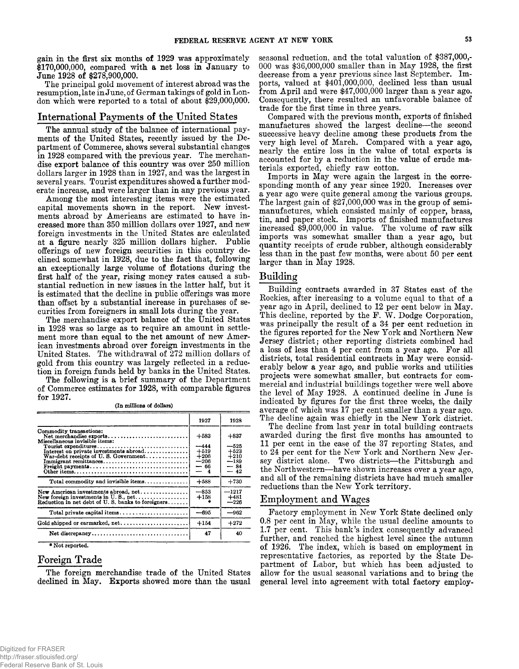**gain in the first six months of 1929 was approximately \$170,000,000, compared with a net loss in January to June 1928 of \$278,900,000.**

**The principal gold movement of interest abroad was the resumption, late in June, of German takings of gold in London which were reported to a total of about \$29,000,000.**

#### **International Payments of the United States**

**The annual study of the balance of international payments of the United States, recently issued by the Department of Commerce, shows several substantial changes in 1928 compared with the previous year. The merchandise export balance of this country was over 250 million dollars larger in 1928 than in 1927, and was the largest in several years. Tourist expenditures showed a further moderate increase, and were larger than in any previous year.**

**Among the most interesting items were the estimated capital movements shown in the report. New investments abroad by Americans are estimated to have increased more than 350 million dollars over 1927, and new foreign investments in the United States are calculated at a figure nearly 325 million dollars higher. Public offerings of new foreign securities in this country declined somewhat in 1928, due to the fact that, following an exceptionally large volume of flotations during the first half of the year, rising money rates caused a substantial reduction in new issues in the latter half, but it is estimated that the decline in public offerings was more than offset by a substantial increase in purchases of securities from foreigners in small lots during the year.**

**The merchandise export balance of the United States in 1928 was so large as to require an amount in settlement more than equal to the net amount of new American investments abroad over foreign investments in the United States. The withdrawal of 272 million dollars of gold from this country was largely reflected in a reduction in foreign funds held by banks in the United States.**

**The following is a< brief summary of the Department of Commerce estimates for 1928, with comparable figures for 1927.**

**(In millions of dollars)**

|                                                                                                                                   | 1927                                                | 1928                                                 |
|-----------------------------------------------------------------------------------------------------------------------------------|-----------------------------------------------------|------------------------------------------------------|
| Commodity transactions:<br>Net merchandise exports<br>Miscellaneous invisible items:                                              | $+583$                                              | $+837$                                               |
| Tourist expenditures<br>$Interest on private investments$ abroad<br>War-debt receipts of U.S. Government<br>Immigrant remittances | $-444$<br>$+519$<br>$+206$<br>$-206$<br>— 66<br>- 4 | —525<br>$+523$<br>$+210$<br>$-189$<br>$-84$<br>$-42$ |
| Total commodity and invisible items                                                                                               | $+588$                                              | $+730$                                               |
| New foreign investments in $U$ , S., net<br>Reduction in net debt of U.S. banks to foreigners                                     | $-853$<br>$+158$                                    | $-1217$<br>$+481$<br>$-226$                          |
|                                                                                                                                   | $-695$                                              | $-962$                                               |
| Gold shipped or earmarked, net                                                                                                    | $+154$                                              | $+272$                                               |
| Net discrepancy                                                                                                                   | 47                                                  | 40                                                   |
| $+ 37 - 4 - 12 - 12 - 3$                                                                                                          |                                                     |                                                      |

**\* Not reported.**

# **Foreign Trade**

**The foreign merchandise trade of the United States declined in May. Exports showed more than the usual**

**seasonal reduction, and the total valuation of \$387,000,- 000 was \$36,000,000 smaller than in May 1928, the first decrease from a year previous since last September. Imports, valued at \$401,000,000, declined less than usual from April and were \$47,000,000 larger than a year ago. Consequently, there resulted an unfavorable balance of trade for the first time in three years.**

**Compared with the previous month, exports of finished manufactures showed the largest decline— the second successive heavy decline among these products from the very high level of March. Compared with a year ago, nearly the entire loss in the value of total exports is accounted for by a reduction in the value of crude materials exported, chiefly raw cotton.**

**Imports in May were again the largest in the corresponding month of any year since 1920. Increases over a year ago were quite general among the various groups. The largest gain of \$27,000,000 was in the group of semimanufactures, which consisted mainly of copper, brass, tin, and paper stock. Imports of finished manufactures increased \$9,000,000 in value. The volume of raw silk imports was somewhat smaller than a year ago, but quantity receipts of crude rubber, although considerably less than in the past few months, were about 50 per cent larger than in May 1928.**

#### **B u ild in g**

**Building contracts awarded in 37 States east of the Rockies, after increasing to a volume equal to that of a year ago in April, declined to 12 per cent below in May.** This decline, reported by the F. W. Dodge Corporation, **was principally the result of a 34 per cent reduction in the figures reported for the New York and Northern New Jersey district; other reporting districts combined had a loss of less than 4 per cent from a year ago. For all districts, total residential contracts in May were considerably below a year ago, and public works and utilities projects were somewhat smaller, but contracts for commercial and industrial buildings together were well above the level of May 1928. A continued decline in June is indicated by figures for the first three weeks, the daily average of which was 17 per cent smaller than a year ago. The decline again was chiefly in the New York district.**

**The decline from last year in total building contracts awarded during the first five months has amounted to 11 per cent in the case of the 37 reporting States, and to 24 per cent for the New York and Northern New Jersey district alone. Two districts— the Pittsburgh and the Northwestern— have shown increases over a year ago, and all of the remaining districts have had much smaller reductions than the New York territory.**

# **Employment and Wages**

**Factory employment in New York State declined only 0.8 per cent in May, while the usual decline amounts to** 1.7 per cent. This bank's index consequently advanced **further, and reached the highest level since the autumn of 1926. The index, which is based on employment in representative factories, as reported by the State Department of Labor, but which has been adjusted to allow for the usual seasonal variations and to bring the general level into agreement with total factory employ-**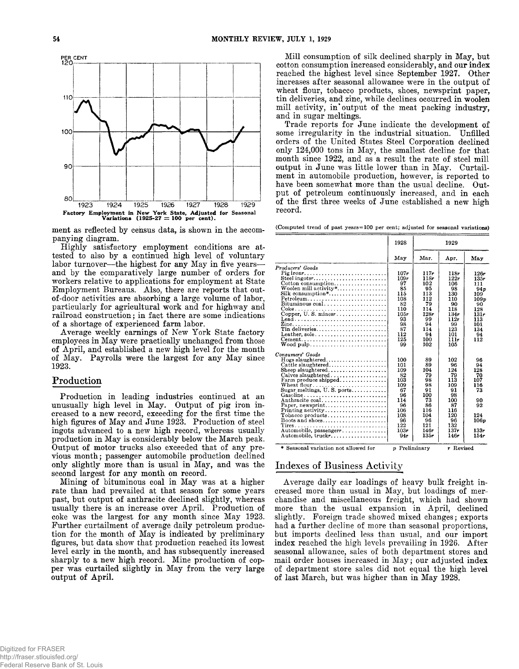

**ment as reflected by census data, is shown in the accompanying diagram.**

**Highly satisfactory employment conditions are attested to also by a continued high level of voluntary labor turnover— the highest for any May in five years and by the comparatively large number of orders for workers relative to applications for employment at State Employment Bureaus. Also, there are reports that outof-door activities are absorbing a large volume of labor, particularly for agricultural work and for highway and railroad construction; in fact there are some indications of a shortage of experienced farm labor.**

**Average weekly earnings of New York State factory employees in May were practically unchanged from those of April, and established a new high level for the month of May. Payrolls were the largest for any May since 1923.**

## **Production**

**Production in leading industries continued at an unusually high level in May. Output of pig iron increased to a new record, exceeding for the first time the high figures of May and June 1923. Production of steel ingots advanced to a new high record, whereas usually production in May is considerably below the March peak. Output of motor trucks also exceeded that of any previous month; passenger automobile production declined only slightly more than is usual in May, and was the second largest for any month on record.**

**Mining of bituminous coal in May was at a higher rate than had prevailed at that season for some years past, but output of anthracite declined slightly, whereas usually there is an increase over April. Production of coke was the largest for any month since May 1923. Further curtailment of average daily petroleum production for the month of May is indicated by preliminary figures, but data show that production reached its lowest level early in the month, and has subsequently increased sharply to a new high record. Mine production of copper was curtailed slightly in May from the very large output of April.**

**Mill consumption of silk declined sharply in May, but cotton consumption increased considerably, and our index reached the highest level since September 1927. Other increases after seasonal allowance were in the output of wheat flour, tobacco products, shoes, newsprint paper, tin deliveries, and zinc, while declines occurred in woolen mill activity, in\* output of the meat packing industry, and in sugar meltings.**

**Trade reports for June indicate the development of some irregularity in the industrial situation. Unfilled orders of the United States Steel Corporation declined only 124,000 tons in May, the smallest decline for that month since 1922, and as a result the rate of steel mill output in June was little lower than in May. Curtailment in automobile production, however, is reported to have been somewhat more than the usual decline. Output of petroleum continuously increased, and in each of the first three weeks of June established a new high record.**

**(Computed trend of past years=100 per cent; adjusted for seasonal variations)**

|                                                                                                                                                                                                                                                                                                                                                                                                                                                       | 1928                                                                                                     |                                                                                                       | 1929                                                                                                     |                                                                                                              |
|-------------------------------------------------------------------------------------------------------------------------------------------------------------------------------------------------------------------------------------------------------------------------------------------------------------------------------------------------------------------------------------------------------------------------------------------------------|----------------------------------------------------------------------------------------------------------|-------------------------------------------------------------------------------------------------------|----------------------------------------------------------------------------------------------------------|--------------------------------------------------------------------------------------------------------------|
|                                                                                                                                                                                                                                                                                                                                                                                                                                                       | May                                                                                                      | Mar.                                                                                                  | Apr.                                                                                                     | May                                                                                                          |
| Producers' Goods<br>Pig iron $r, \ldots, \ldots, \ldots, \ldots, \ldots, \ldots, \ldots, \ldots$<br>Steel ingotsr<br>$\text{Cottom consumption} \dots \dots \dots \dots \dots \dots$<br>Woolen mill activity*<br>$Petroleum \ldots \ldots \ldots \ldots \ldots \ldots \ldots$<br>Bituminous coal<br>Copper, U.S. minesr<br>Tin deliveries<br>Leather, sole<br>$Cement \ldots \ldots \ldots \ldots \ldots \ldots \ldots \ldots \ldots$<br>$W$ ood pulp | 107r<br>109r<br>97<br>85<br>115<br>108<br>82<br>110<br>105r<br>93<br>98<br>87<br>112<br>125<br>99        | 117r<br>118r<br>102<br>95<br>113<br>112<br>79<br>114<br>128r<br>99<br>94<br>114<br>94<br>100<br>102   | 118r<br>122r<br>106<br>98<br>130<br>110<br>90<br>118<br>134r<br>112r<br>99<br>123<br>101<br>111r<br>105  | 126r<br>135r<br>111<br>94 <sub>p</sub><br>109<br>109p<br>90<br>128<br>131r<br>113<br>101<br>134<br>94<br>112 |
| Consumers' Goods<br>Cattle slaughtered<br>Sheep slaughtered<br>Calves slaughtered<br>Farm produce shipped<br>Sugar meltings, $U. S.$ ports<br>Gasoline<br>Anthracite coal<br>Paper, newsprint<br>Printing activity<br>$\text{Tobase}$ products<br>Boots and shoes<br>Automobile, passengerr<br>Automobile, truckr                                                                                                                                     | 100<br>101<br>109<br>82<br>103<br>109<br>67<br>96<br>114<br>96<br>106<br>108<br>96<br>122<br>103r<br>94r | 89<br>89<br>104<br>79<br>98<br>98<br>91<br>100<br>73<br>86<br>116<br>104<br>96<br>121<br>146r<br>135r | 102<br>96<br>124<br>79<br>113<br>109<br>91<br>98<br>100<br>87<br>116<br>120<br>96<br>132<br>137r<br>146r | 96<br>94<br>128<br>70<br>107<br>116<br>73<br>90<br>92<br>124<br>106 <sub>p</sub><br>133r<br>154r             |
| * Seasonal variation not allowed for                                                                                                                                                                                                                                                                                                                                                                                                                  | p Preliminary                                                                                            |                                                                                                       | r Revised                                                                                                |                                                                                                              |

# **Indexes of Business Activity**

**Average daily car loadings of heavy bulk freight increased more than usual in May, but loadings of merchandise and miscellaneous freight, which had shown more than the usual expansion in April, declined slightly. Foreign trade showed mixed changes; exports had a further decline of more than seasonal proportions, but imports declined less than usual, and our import index reached the high levels prevailing in 1926. After seasonal allowance, sales of both department stores and** mail order houses increased in May; our adjusted index **of department store sales did not equal the high level of last March, but was higher than in May 1928.**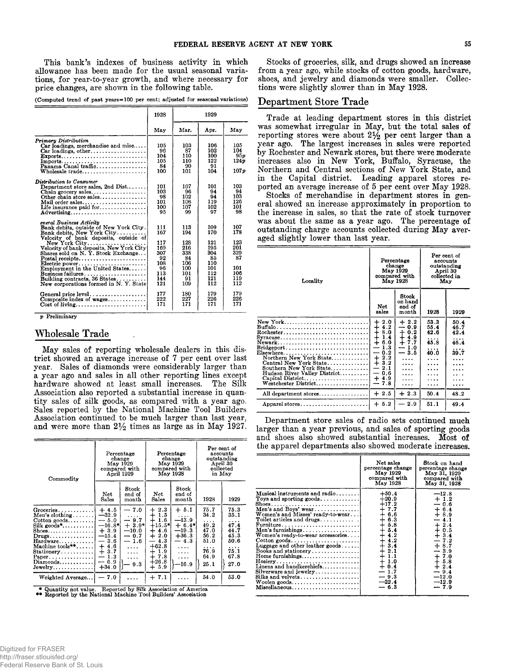**This bank's indexes of business activity in which allowance has been made for the usual seasonal variations, for year-to-year growth, and where necessary for price changes, are shown in the following table.**

| (Computed trend of past years=100 per cent; adjusted for seasonal variations) |  |  |  |  |  |  |  |
|-------------------------------------------------------------------------------|--|--|--|--|--|--|--|
|-------------------------------------------------------------------------------|--|--|--|--|--|--|--|

|                                                                                                                                                                                                                                                                                                                                                                                                              | 1928                                                                    |                                                                         | 1929                                                                     |                                                                   |  |
|--------------------------------------------------------------------------------------------------------------------------------------------------------------------------------------------------------------------------------------------------------------------------------------------------------------------------------------------------------------------------------------------------------------|-------------------------------------------------------------------------|-------------------------------------------------------------------------|--------------------------------------------------------------------------|-------------------------------------------------------------------|--|
|                                                                                                                                                                                                                                                                                                                                                                                                              | May                                                                     | Mar.                                                                    | Apr.                                                                     | May                                                               |  |
| Primary Distribution<br>$Car$ loadings, merchandise and misc<br>$\text{Exports.} \dots \dots \dots \dots \dots \dots \dots \dots \dots$<br>$\mathbf{Imports} \dots \dots \dots \dots \dots \dots \dots \dots \dots \dots$<br>Panama Canal traffic                                                                                                                                                            | 105<br>96<br>104<br>105<br>84<br>100                                    | 103<br>87<br>110<br>110<br>90<br>101                                    | 106<br>102<br>100<br>122<br>91<br>104                                    | 105<br>104<br>95p<br>124p<br>107 v                                |  |
| Distribution to Consumer<br>Department store sales, 2nd $Dist$<br>Chain grocery sales<br>Other chain store sales<br>$\mathbf{Mail}$ order sales<br>Life insurance paid for<br>Advertising<br>eneral Business Activity                                                                                                                                                                                        | 101<br>103<br>98<br>101<br>100<br>95                                    | 107<br>96<br>102<br>106<br>107<br>99                                    | 101<br>94<br>94<br>119<br>102<br>97                                      | 103<br>94<br>103<br>126<br>101<br>98                              |  |
| Bank debits, outside of New York City.<br>Bank debits, New York City<br>Velocity of bank deposits, outside of<br>$New York City \ldots \ldots \ldots \ldots \ldots$<br>Velocity of bank deposits, New York City<br>Shares sold on N.Y. Stock Exchange<br>Electric power<br>Employment in the United States<br>$B$ usiness failures<br>Building contracts, 36 States<br>New corporations formed in N.Y. State | 111<br>167<br>117<br>169<br>307<br>92<br>108<br>96<br>113<br>144<br>121 | 113<br>194<br>128<br>216<br>338<br>84<br>106<br>100<br>101<br>91<br>109 | 109<br>170<br>121<br>195<br>304<br>85<br>110<br>101<br>112<br>121<br>112 | 107<br>178<br>123<br>201<br>329<br>87<br>101<br>106<br>119<br>112 |  |
| Composite index of wages<br>$Cost of living \ldots \ldots \ldots \ldots \ldots$                                                                                                                                                                                                                                                                                                                              | 177<br>222<br>171                                                       | 180<br>227<br>171                                                       | 179<br>226<br>171                                                        | 179<br>226<br>171                                                 |  |

*p* **Preliminary**

## **Wholesale Trade**

**May sales of reporting wholesale dealers in this district showed an average increase of 7 per cent over last year. Sales of diamonds were considerably larger than a year ago and sales in all other reporting lines except hardware showed at least small increases. The Silk Association also reported a substantial increase in quantity sales of silk goods, as compared with a year ago. Sales reported by the National Machine Tool Builders Association continued to be much larger than last year,** and were more than  $2\frac{1}{2}$  times as large as in May 1927.

| Commodity                                                                                                                                                                                                                    | Percentage<br>change<br>May 1929<br>compared with<br>April 1929                                                       |                                                                                                                             | Percentage<br>change<br>May 1929<br>compared with<br>May 1928                                                                                |                                                                                           | Per cent of<br>accounts<br>outstanding<br>April 30<br>collected<br>in May |                                                                                |
|------------------------------------------------------------------------------------------------------------------------------------------------------------------------------------------------------------------------------|-----------------------------------------------------------------------------------------------------------------------|-----------------------------------------------------------------------------------------------------------------------------|----------------------------------------------------------------------------------------------------------------------------------------------|-------------------------------------------------------------------------------------------|---------------------------------------------------------------------------|--------------------------------------------------------------------------------|
|                                                                                                                                                                                                                              | Net.<br>Sales                                                                                                         | Stock<br>end of<br>month                                                                                                    | Net.<br>Sales                                                                                                                                | $_{\rm Stock}$<br>end of<br>month                                                         | 1928                                                                      | 1929                                                                           |
| $G$ roceries<br>Men's clothing<br>$Cotton$ goods<br>$Silk$ goods*<br>$S$ hoes<br>$Drugs \ldots \ldots \ldots \ldots$<br>Hardware<br>Machine tools $**$<br>Stationery<br>Paper.<br>$Diamonds \ldots \ldots \ldots$<br>Jewelry | $+4.5$<br>$-32.9$<br>$-5.0$<br>$-16.8*$<br>$+3.9$<br>$-15.4$<br>3.6<br>—<br>$+4.6$<br>$+3.7$<br>1.3<br>6.9<br>$+34.0$ | $-7.0$<br>$-9.7$<br>$+3.9*$<br>$-10.0$<br>0.7<br>$\overline{\phantom{0}}$<br>1.6<br>$\cdots$<br>$\cdots$<br>$\cdots$<br>9.3 | $+2.3$<br>1.5<br>$^\mathrm{+}$<br>1.6<br>$+15.5*$<br>$+4.6$<br>2.0<br>$+$<br>4.3<br>$+62.8$<br>$+1.9$<br>7.8<br>$\pm$<br>$+26.8$<br>5.9<br>┿ | $+ 5.1$<br>$-13.9$<br>$+6.4*$<br>$-19.3$<br>$+36.3$<br>4.3<br>.<br>.<br>$\cdots$<br>-16.9 | 75.7<br>34.2<br>49.2<br>47.0<br>56.2<br>51.0<br>.<br>76.9<br>64.9<br>25.1 | 75.3<br>35.1<br>.<br>47.4<br>44.7<br>45.3<br>50.6<br>.<br>75.1<br>67.8<br>27.0 |
| Weighted Average                                                                                                                                                                                                             | 7.0                                                                                                                   | .                                                                                                                           | $+7.1$                                                                                                                                       |                                                                                           | 54.0                                                                      | 53.0                                                                           |

**\* Quantity not value. Reported by Silk Association of America ♦\* Reported by the National Machine Tool Builders' Association**

**Stocks of groceries, silk, and drugs showed an increase from a year ago, while stocks of cotton goods, hardware, shoes, and jewelry and diamonds were smaller. Collections were slightly slower than in May 1928.**

# **Department Store Trade**

**Trade at leading department stores in this district was somewhat irregular in May, but the total sales of** reporting stores were about  $2\frac{1}{2}$  per cent larger than a **year ago. The largest increases in sales were reported by Rochester and Newark stores, but there were moderate increases also in New York, Buffalo, Syracuse, the Northern and Central sections of New York State, and in the Capital district. Leading apparel stores reported an average increase of 5 per cent over May 1928.**

**Stocks of merchandise in department stores in general showed an increase approximately in proportion to the increase in sales, so that the rate of stock turnover was about the same as a year ago. The percentage of outstanding charge accounts collected during May averaged slightly lower than last year.**

| Locality                                                                                                                                                                                                                                                                                                                                          | Percentage<br>change<br>May 1929<br>compared with<br>May 1928                                                                                                  |                                                                                | Per cent of<br>accounts<br>outstanding<br>April 30<br>collected in<br>May |                                                |
|---------------------------------------------------------------------------------------------------------------------------------------------------------------------------------------------------------------------------------------------------------------------------------------------------------------------------------------------------|----------------------------------------------------------------------------------------------------------------------------------------------------------------|--------------------------------------------------------------------------------|---------------------------------------------------------------------------|------------------------------------------------|
|                                                                                                                                                                                                                                                                                                                                                   | Net<br>sales                                                                                                                                                   | Stock<br>on hand<br>end of<br>month                                            | 1928                                                                      | 1929                                           |
| New York<br>$Rochester. \ldots \ldots \ldots \ldots \ldots \ldots \ldots \ldots \ldots$<br>Newark<br>$\text{Bridgeport} \dots \dots \dots \dots \dots \dots \dots \dots$<br>Elsewhere<br>Northern New York State<br>Central New York State<br>Southern New York State<br>Hudson River Valley District<br>Capital District<br>Westchester District | 2.0<br>$\ddagger$<br>4.2<br>8.0<br>$^{+}$<br>1.4<br>$\div$<br>6.0<br>1.3<br>0.2<br>-<br>2.2<br>$\ddagger$<br>3.2<br>2.1<br>—<br>0,6<br>$\div$<br>4.9<br>$-7.8$ | $+2.2$<br>0.9<br>—<br>$1.2 + 4.9$<br>$+7.7$<br>$-1.0$<br>$-3.5$<br>.<br>.<br>. | 53.3<br>55.4<br>42.6<br>.<br>45.8<br>40.0<br>$\cdots$<br>.<br>.           | 50.4<br>46.7<br>42.4<br>46.4<br>39.7<br>.<br>. |
| All department stores                                                                                                                                                                                                                                                                                                                             | $+2.5$                                                                                                                                                         | $+2.3$                                                                         | 50.4                                                                      | 48.2                                           |
| Apparel stores                                                                                                                                                                                                                                                                                                                                    | $+5.2$                                                                                                                                                         | 2.9                                                                            | 51.1                                                                      | 49.4                                           |

**Department store sales of radio sets continued much larger than a year previous, and sales of sporting goods and shoes also showed substantial increases. Most of the apparel departments also showed moderate increases.**

|                                                                                                                                                                                                                                                                                                                                                                                                                          | Net sales<br>percentage change<br>May 1929<br>compared with<br>May 1928                                                                                                                                        | Stock on hand<br>percentage change<br>May 31, 1929<br>compared with<br>May 31, 1928                                                                                                           |
|--------------------------------------------------------------------------------------------------------------------------------------------------------------------------------------------------------------------------------------------------------------------------------------------------------------------------------------------------------------------------------------------------------------------------|----------------------------------------------------------------------------------------------------------------------------------------------------------------------------------------------------------------|-----------------------------------------------------------------------------------------------------------------------------------------------------------------------------------------------|
| Musical instruments and radio<br>Toys and sporting goods<br>Shoes<br>Men's and Boys' wear<br>Women's and Misses' ready-to-wear<br>Toilet articles and drugs<br>Men's furnishings<br>Women's ready-to-wear accessories<br>Luggage and other leather goods $\dots$<br>Books and stationery<br>Home furnishings<br>Linens and handkerchiefs<br>$Silyerware and jewelry \ldots \ldots$<br>Silks and velvets<br>Miscellaneous | $+50.4$<br>$+20.9$<br>$+17.2$<br>$+7.7$<br>$+6.6$<br>$+ 6.3$<br>$+5.8$<br>$+5.4$<br>$+4.2$<br>$+4.2$<br>$+3.4$<br>$\frac{1}{4}$ $\frac{2.1}{1.1}$<br>$+1.0$<br>$+0.4$<br>$-1.7$<br>$-9.3$<br>$-22.4$<br>$-6.3$ | $-12.8$<br>$+1.2$<br>$-0.6$<br>$+6.4$<br>$+8.9$<br>$-4.1$<br>$+2.4$<br>$+0.5$<br>$+3.4$<br>$-7.2$<br>$+8.7$<br>$-3.9$<br>$+7.0$<br>$+5.8$<br>$+2.4$<br>$-9.4$<br>$-12.0$<br>$-12.9$<br>$-7.9$ |